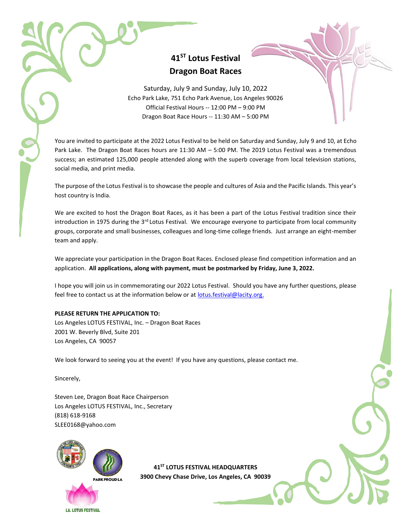# **41ST Lotus Festival Dragon Boat Races**

Saturday, July 9 and Sunday, July 10, 2022 Echo Park Lake, 751 Echo Park Avenue, Los Angeles 90026 Official Festival Hours -- 12:00 PM – 9:00 PM Dragon Boat Race Hours -- 11:30 AM – 5:00 PM

You are invited to participate at the 2022 Lotus Festival to be held on Saturday and Sunday, July 9 and 10, at Echo Park Lake. The Dragon Boat Races hours are 11:30 AM – 5:00 PM. The 2019 Lotus Festival was a tremendous success; an estimated 125,000 people attended along with the superb coverage from local television stations, social media, and print media.

The purpose of the Lotus Festival is to showcase the people and cultures of Asia and the Pacific Islands. This year's host country is India.

We are excited to host the Dragon Boat Races, as it has been a part of the Lotus Festival tradition since their introduction in 1975 during the 3<sup>rd</sup> Lotus Festival. We encourage everyone to participate from local community groups, corporate and small businesses, colleagues and long-time college friends. Just arrange an eight-member team and apply.

We appreciate your participation in the Dragon Boat Races. Enclosed please find competition information and an application. **All applications, along with payment, must be postmarked by Friday, June 3, 2022.**

I hope you will join us in commemorating our 2022 Lotus Festival. Should you have any further questions, please feel free to contact us at the information below or at [lotus.festival@lacity.org.](mailto:lotus.festival@lacity.org)

#### **PLEASE RETURN THE APPLICATION TO:**

Los Angeles LOTUS FESTIVAL, Inc. – Dragon Boat Races 2001 W. Beverly Blvd, Suite 201 Los Angeles, CA 90057

We look forward to seeing you at the event! If you have any questions, please contact me.

Sincerely,

Steven Lee, Dragon Boat Race Chairperson Los Angeles LOTUS FESTIVAL, Inc., Secretary (818) 618-9168 [SLEE0168@yahoo.com](mailto:SLEE0168@yahoo.com)



**41ST LOTUS FESTIVAL HEADQUARTERS 3900 Chevy Chase Drive, Los Angeles, CA 90039**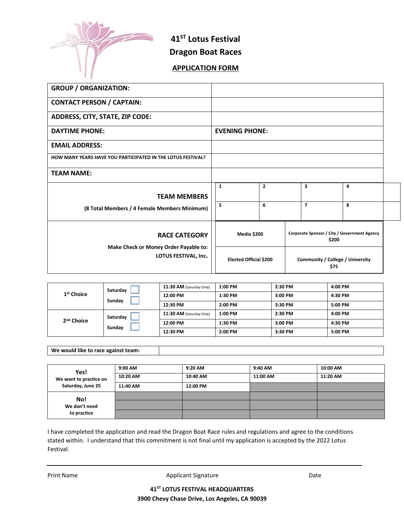

**41ST Lotus Festival Dragon Boat Races**

## **APPLICATION FORM**

| <b>GROUP / ORGANIZATION:</b>                                                          |                               |                |                                                       |   |  |
|---------------------------------------------------------------------------------------|-------------------------------|----------------|-------------------------------------------------------|---|--|
| <b>CONTACT PERSON / CAPTAIN:</b>                                                      |                               |                |                                                       |   |  |
| ADDRESS, CITY, STATE, ZIP CODE:                                                       |                               |                |                                                       |   |  |
| <b>DAYTIME PHONE:</b>                                                                 | <b>EVENING PHONE:</b>         |                |                                                       |   |  |
| <b>EMAIL ADDRESS:</b>                                                                 |                               |                |                                                       |   |  |
| HOW MANY YEARS HAVE YOU PARTICIPATED IN THE LOTUS FESTIVAL?                           |                               |                |                                                       |   |  |
| <b>TEAM NAME:</b>                                                                     |                               |                |                                                       |   |  |
|                                                                                       | $\mathbf{1}$                  | $\overline{2}$ | 3                                                     | 4 |  |
| <b>TEAM MEMBERS</b>                                                                   |                               |                |                                                       |   |  |
| (8 Total Members / 4 Female Members Minimum)                                          | 5                             | 6              | $\overline{\mathbf{z}}$                               | 8 |  |
| <b>RACE CATEGORY</b><br>Make Check or Money Order Payable to:<br>LOTUS FESTIVAL, Inc. | Media \$200                   |                | Corporate Sponsor / City / Government Agency<br>\$200 |   |  |
|                                                                                       | <b>Elected Official \$200</b> |                | Community / College / University<br>\$75              |   |  |

| 1 <sup>st</sup> Choice | Saturday<br>Sunday | 11:30 AM (Saturday Only) | 1:00 PM | 2:30 PM | 4:00 PM |
|------------------------|--------------------|--------------------------|---------|---------|---------|
|                        |                    | 12:00 PM                 | 1:30 PM | 3:00 PM | 4:30 PM |
|                        |                    | 12:30 PM                 | 2:00 PM | 3:30 PM | 5:00 PM |
| 2 <sup>nd</sup> Choice | Saturday<br>Sunday | 11:30 AM (Saturday Only) | 1:00 PM | 2:30 PM | 4:00 PM |
|                        |                    | 12:00 PM                 | 1:30 PM | 3:00 PM | 4:30 PM |
|                        |                    | 12:30 PM                 | 2:00 PM | 3:30 PM | 5:00 PM |

**We would like to race against team:**

| Yes!<br>We want to practice on<br>Saturday, June 25 | 9:00 AM  | 9:20 AM  | 9:40 AM  | 10:00 AM |
|-----------------------------------------------------|----------|----------|----------|----------|
|                                                     | 10:20 AM | 10:40 AM | 11:00 AM | 11:20 AM |
|                                                     | 11:40 AM | 12:00 PM |          |          |
| No!<br>We don't need<br>to practice                 |          |          |          |          |
|                                                     |          |          |          |          |
|                                                     |          |          |          |          |

I have completed the application and read the Dragon Boat Race rules and regulations and agree to the conditions stated within. I understand that this commitment is not final until my application is accepted by the 2022 Lotus Festival.

Print Name **Applicant Signature Conserversity** Date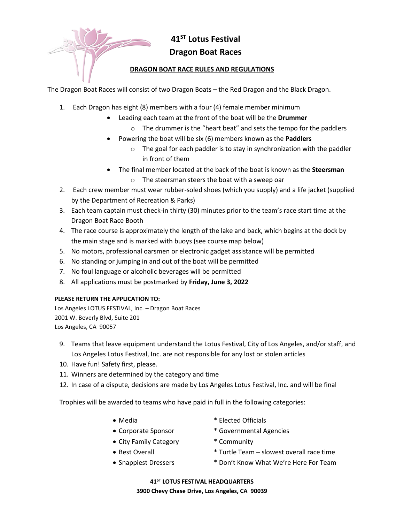**41ST Lotus Festival Dragon Boat Races**

### **DRAGON BOAT RACE RULES AND REGULATIONS**

The Dragon Boat Races will consist of two Dragon Boats – the Red Dragon and the Black Dragon.

- 1. Each Dragon has eight (8) members with a four (4) female member minimum
	- Leading each team at the front of the boat will be the **Drummer** 
		- o The drummer is the "heart beat" and sets the tempo for the paddlers
	- Powering the boat will be six (6) members known as the **Paddlers** 
		- o The goal for each paddler is to stay in synchronization with the paddler in front of them
	- The final member located at the back of the boat is known as the **Steersman**
		- o The steersman steers the boat with a sweep oar
- 2. Each crew member must wear rubber-soled shoes (which you supply) and a life jacket (supplied by the Department of Recreation & Parks)
- 3. Each team captain must check-in thirty (30) minutes prior to the team's race start time at the Dragon Boat Race Booth
- 4. The race course is approximately the length of the lake and back, which begins at the dock by the main stage and is marked with buoys (see course map below)
- 5. No motors, professional oarsmen or electronic gadget assistance will be permitted
- 6. No standing or jumping in and out of the boat will be permitted
- 7. No foul language or alcoholic beverages will be permitted
- 8. All applications must be postmarked by **Friday, June 3, 2022**

#### **PLEASE RETURN THE APPLICATION TO:**

Los Angeles LOTUS FESTIVAL, Inc. – Dragon Boat Races 2001 W. Beverly Blvd, Suite 201 Los Angeles, CA 90057

- 9. Teams that leave equipment understand the Lotus Festival, City of Los Angeles, and/or staff, and Los Angeles Lotus Festival, Inc. are not responsible for any lost or stolen articles
- 10. Have fun! Safety first, please.
- 11. Winners are determined by the category and time
- 12. In case of a dispute, decisions are made by Los Angeles Lotus Festival, Inc. and will be final

Trophies will be awarded to teams who have paid in full in the following categories:

- 
- Media  $*$  Elected Officials
- Corporate Sponsor \* Governmental Agencies
- 
- City Family Category \* Community
- 

- 
- Best Overall **Exercise 1** and  $*$  Turtle Team slowest overall race time
- Snappiest Dressers \* 1000't Know What We're Here For Team

### **41ST LOTUS FESTIVAL HEADQUARTERS 3900 Chevy Chase Drive, Los Angeles, CA 90039**